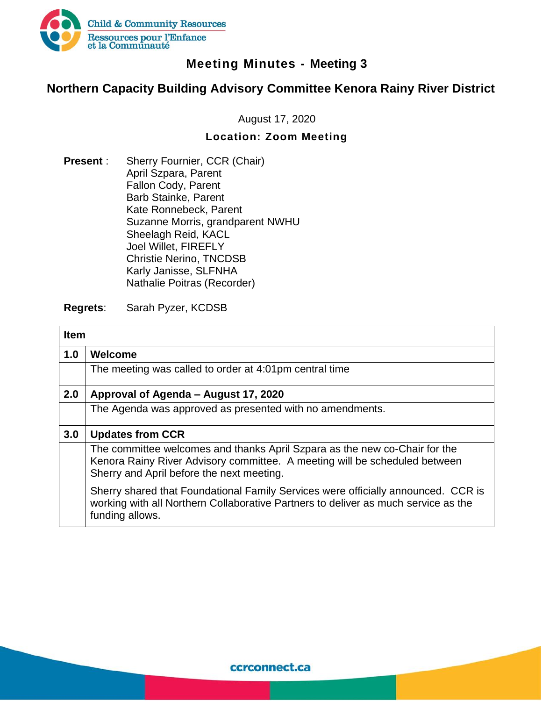

## **Meeting Minutes - Meeting 3**

## **Northern Capacity Building Advisory Committee Kenora Rainy River District**

August 17, 2020

## **Location: Zoom Meeting**

**Present** : Sherry Fournier, CCR (Chair) April Szpara, Parent Fallon Cody, Parent Barb Stainke, Parent Kate Ronnebeck, Parent Suzanne Morris, grandparent NWHU Sheelagh Reid, KACL Joel Willet, FIREFLY Christie Nerino, TNCDSB Karly Janisse, SLFNHA Nathalie Poitras (Recorder)

## **Regrets**: Sarah Pyzer, KCDSB

| <b>Item</b> |                                                                                                                                                                                                       |  |
|-------------|-------------------------------------------------------------------------------------------------------------------------------------------------------------------------------------------------------|--|
| 1.0         | Welcome                                                                                                                                                                                               |  |
|             | The meeting was called to order at 4:01pm central time                                                                                                                                                |  |
| 2.0         | Approval of Agenda - August 17, 2020                                                                                                                                                                  |  |
|             | The Agenda was approved as presented with no amendments.                                                                                                                                              |  |
| 3.0         | <b>Updates from CCR</b>                                                                                                                                                                               |  |
|             | The committee welcomes and thanks April Szpara as the new co-Chair for the<br>Kenora Rainy River Advisory committee. A meeting will be scheduled between<br>Sherry and April before the next meeting. |  |
|             | Sherry shared that Foundational Family Services were officially announced. CCR is<br>working with all Northern Collaborative Partners to deliver as much service as the<br>funding allows.            |  |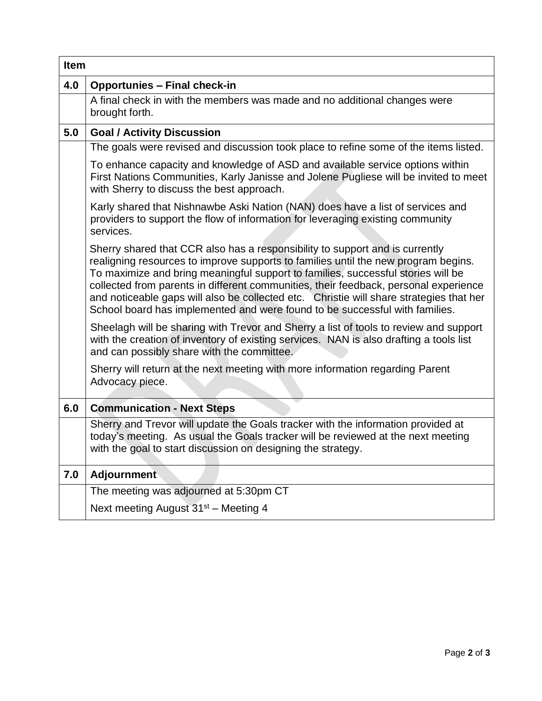|     | <b>Item</b>                                                                                                                                                                                                                                                                                                                                                                                                                                                                                                              |  |  |
|-----|--------------------------------------------------------------------------------------------------------------------------------------------------------------------------------------------------------------------------------------------------------------------------------------------------------------------------------------------------------------------------------------------------------------------------------------------------------------------------------------------------------------------------|--|--|
| 4.0 | <b>Opportunies - Final check-in</b>                                                                                                                                                                                                                                                                                                                                                                                                                                                                                      |  |  |
|     | A final check in with the members was made and no additional changes were<br>brought forth.                                                                                                                                                                                                                                                                                                                                                                                                                              |  |  |
| 5.0 | <b>Goal / Activity Discussion</b>                                                                                                                                                                                                                                                                                                                                                                                                                                                                                        |  |  |
|     | The goals were revised and discussion took place to refine some of the items listed.                                                                                                                                                                                                                                                                                                                                                                                                                                     |  |  |
|     | To enhance capacity and knowledge of ASD and available service options within<br>First Nations Communities, Karly Janisse and Jolene Pugliese will be invited to meet<br>with Sherry to discuss the best approach.                                                                                                                                                                                                                                                                                                       |  |  |
|     | Karly shared that Nishnawbe Aski Nation (NAN) does have a list of services and<br>providers to support the flow of information for leveraging existing community<br>services.                                                                                                                                                                                                                                                                                                                                            |  |  |
|     | Sherry shared that CCR also has a responsibility to support and is currently<br>realigning resources to improve supports to families until the new program begins.<br>To maximize and bring meaningful support to families, successful stories will be<br>collected from parents in different communities, their feedback, personal experience<br>and noticeable gaps will also be collected etc. Christie will share strategies that her<br>School board has implemented and were found to be successful with families. |  |  |
|     | Sheelagh will be sharing with Trevor and Sherry a list of tools to review and support<br>with the creation of inventory of existing services. NAN is also drafting a tools list<br>and can possibly share with the committee.                                                                                                                                                                                                                                                                                            |  |  |
|     | Sherry will return at the next meeting with more information regarding Parent<br>Advocacy piece.                                                                                                                                                                                                                                                                                                                                                                                                                         |  |  |
| 6.0 | <b>Communication - Next Steps</b>                                                                                                                                                                                                                                                                                                                                                                                                                                                                                        |  |  |
|     | Sherry and Trevor will update the Goals tracker with the information provided at<br>today's meeting. As usual the Goals tracker will be reviewed at the next meeting<br>with the goal to start discussion on designing the strategy.                                                                                                                                                                                                                                                                                     |  |  |
| 7.0 | <b>Adjournment</b>                                                                                                                                                                                                                                                                                                                                                                                                                                                                                                       |  |  |
|     | The meeting was adjourned at 5:30pm CT                                                                                                                                                                                                                                                                                                                                                                                                                                                                                   |  |  |
|     | Next meeting August 31 <sup>st</sup> - Meeting 4                                                                                                                                                                                                                                                                                                                                                                                                                                                                         |  |  |

ĭ